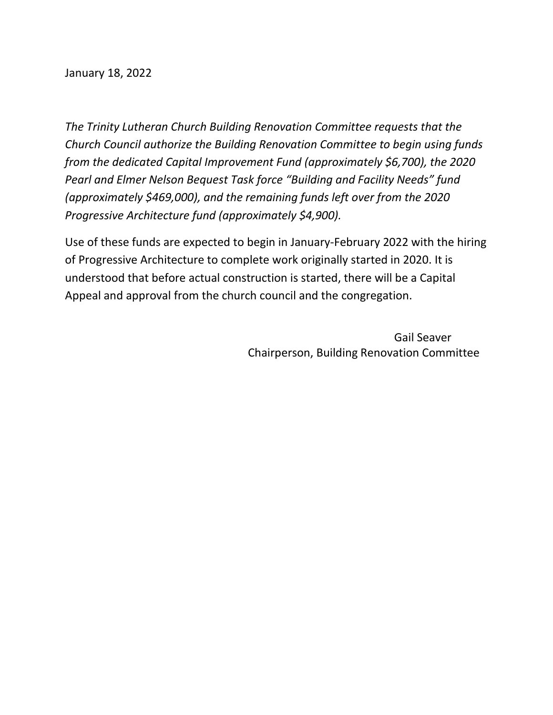January 18, 2022

*The Trinity Lutheran Church Building Renovation Committee requests that the Church Council authorize the Building Renovation Committee to begin using funds from the dedicated Capital Improvement Fund (approximately \$6,700), the 2020 Pearl and Elmer Nelson Bequest Task force "Building and Facility Needs" fund (approximately \$469,000), and the remaining funds left over from the 2020 Progressive Architecture fund (approximately \$4,900).*

Use of these funds are expected to begin in January-February 2022 with the hiring of Progressive Architecture to complete work originally started in 2020. It is understood that before actual construction is started, there will be a Capital Appeal and approval from the church council and the congregation.

> Gail Seaver Chairperson, Building Renovation Committee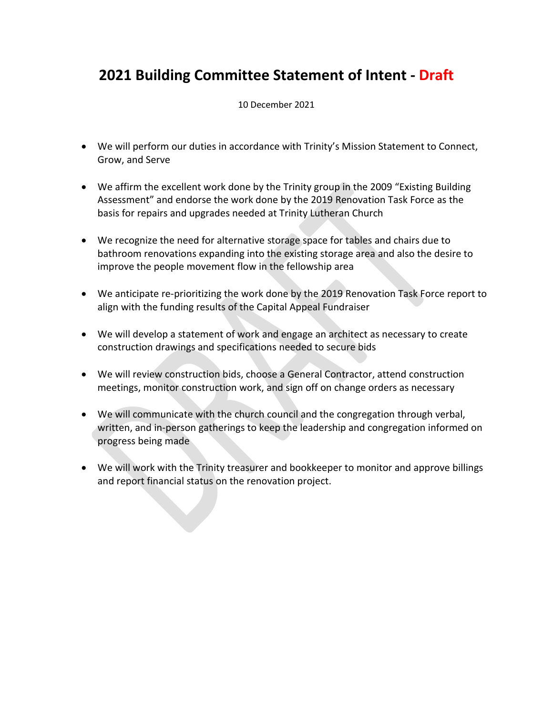## **2021 Building Committee Statement of Intent - Draft**

10 December 2021

- We will perform our duties in accordance with Trinity's Mission Statement to Connect, Grow, and Serve
- We affirm the excellent work done by the Trinity group in the 2009 "Existing Building Assessment" and endorse the work done by the 2019 Renovation Task Force as the basis for repairs and upgrades needed at Trinity Lutheran Church
- We recognize the need for alternative storage space for tables and chairs due to bathroom renovations expanding into the existing storage area and also the desire to improve the people movement flow in the fellowship area
- We anticipate re-prioritizing the work done by the 2019 Renovation Task Force report to align with the funding results of the Capital Appeal Fundraiser
- We will develop a statement of work and engage an architect as necessary to create construction drawings and specifications needed to secure bids
- We will review construction bids, choose a General Contractor, attend construction meetings, monitor construction work, and sign off on change orders as necessary
- We will communicate with the church council and the congregation through verbal, written, and in-person gatherings to keep the leadership and congregation informed on progress being made
- We will work with the Trinity treasurer and bookkeeper to monitor and approve billings and report financial status on the renovation project.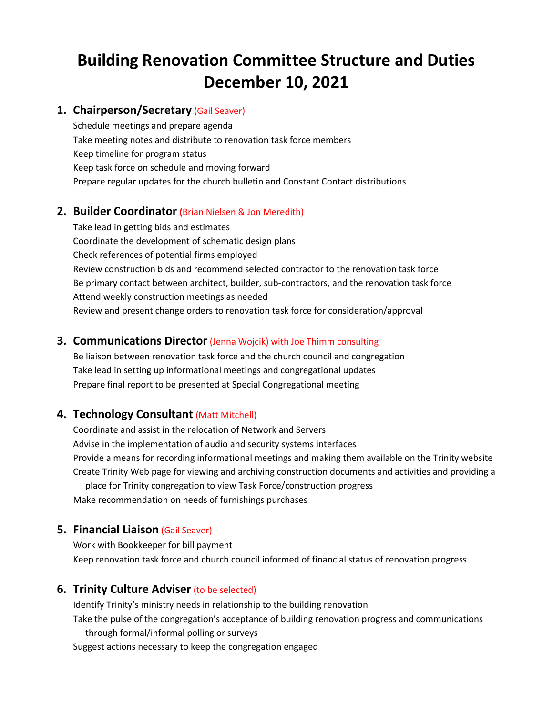# **Building Renovation Committee Structure and Duties December 10, 2021**

#### **1. Chairperson/Secretary** (Gail Seaver)

Schedule meetings and prepare agenda Take meeting notes and distribute to renovation task force members Keep timeline for program status Keep task force on schedule and moving forward Prepare regular updates for the church bulletin and Constant Contact distributions

#### **2. Builder Coordinator (**Brian Nielsen & Jon Meredith)

Take lead in getting bids and estimates Coordinate the development of schematic design plans Check references of potential firms employed Review construction bids and recommend selected contractor to the renovation task force Be primary contact between architect, builder, sub-contractors, and the renovation task force Attend weekly construction meetings as needed Review and present change orders to renovation task force for consideration/approval

#### **3. Communications Director** (Jenna Wojcik) with Joe Thimm consulting

Be liaison between renovation task force and the church council and congregation Take lead in setting up informational meetings and congregational updates Prepare final report to be presented at Special Congregational meeting

### **4. Technology Consultant** (Matt Mitchell)

Coordinate and assist in the relocation of Network and Servers Advise in the implementation of audio and security systems interfaces Provide a means for recording informational meetings and making them available on the Trinity website Create Trinity Web page for viewing and archiving construction documents and activities and providing a place for Trinity congregation to view Task Force/construction progress Make recommendation on needs of furnishings purchases

#### **5. Financial Liaison** (Gail Seaver)

Work with Bookkeeper for bill payment Keep renovation task force and church council informed of financial status of renovation progress

#### **6. Trinity Culture Adviser** (to be selected)

Identify Trinity's ministry needs in relationship to the building renovation Take the pulse of the congregation's acceptance of building renovation progress and communications through formal/informal polling or surveys

Suggest actions necessary to keep the congregation engaged